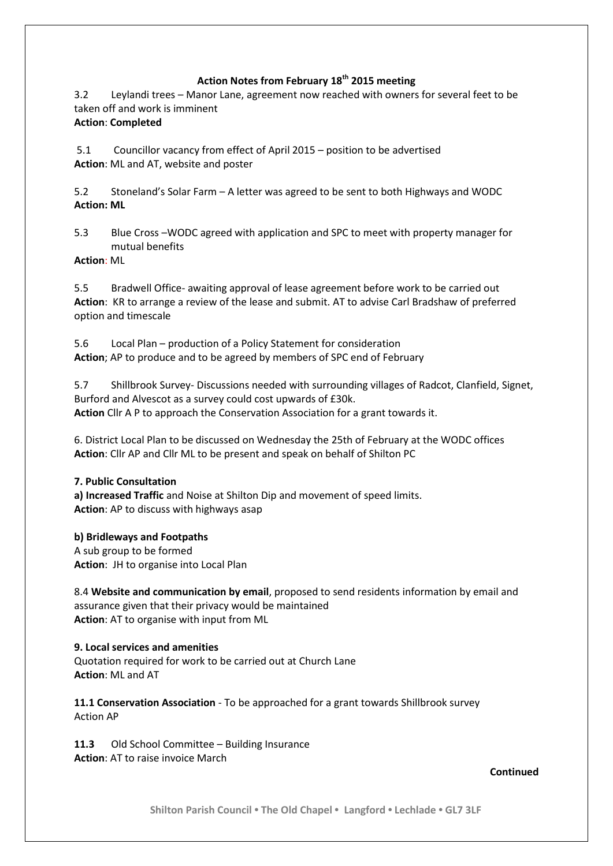## **Action Notes from February 18th 2015 meeting**

3.2 Leylandi trees – Manor Lane, agreement now reached with owners for several feet to be taken off and work is imminent

## **Action**: **Completed**

5.1 Councillor vacancy from effect of April 2015 – position to be advertised **Action**: ML and AT, website and poster

5.2 Stoneland's Solar Farm – A letter was agreed to be sent to both Highways and WODC **Action: ML**

5.3 Blue Cross –WODC agreed with application and SPC to meet with property manager for mutual benefits

**Action**: ML

5.5 Bradwell Office- awaiting approval of lease agreement before work to be carried out **Action**: KR to arrange a review of the lease and submit. AT to advise Carl Bradshaw of preferred option and timescale

5.6 Local Plan – production of a Policy Statement for consideration **Action**; AP to produce and to be agreed by members of SPC end of February

5.7 Shillbrook Survey- Discussions needed with surrounding villages of Radcot, Clanfield, Signet, Burford and Alvescot as a survey could cost upwards of £30k. **Action** Cllr A P to approach the Conservation Association for a grant towards it.

6. District Local Plan to be discussed on Wednesday the 25th of February at the WODC offices **Action**: Cllr AP and Cllr ML to be present and speak on behalf of Shilton PC

## **7. Public Consultation**

**a) Increased Traffic** and Noise at Shilton Dip and movement of speed limits. **Action**: AP to discuss with highways asap

**b) Bridleways and Footpaths**

A sub group to be formed **Action**: JH to organise into Local Plan

8.4 **Website and communication by email**, proposed to send residents information by email and assurance given that their privacy would be maintained **Action**: AT to organise with input from ML

## **9. Local services and amenities**

Quotation required for work to be carried out at Church Lane **Action**: ML and AT

**11.1 Conservation Association** - To be approached for a grant towards Shillbrook survey Action AP

**11.3** Old School Committee – Building Insurance **Action**: AT to raise invoice March

**Continued**

**Shilton Parish Council • The Old Chapel • Langford • Lechlade • GL7 3LF**